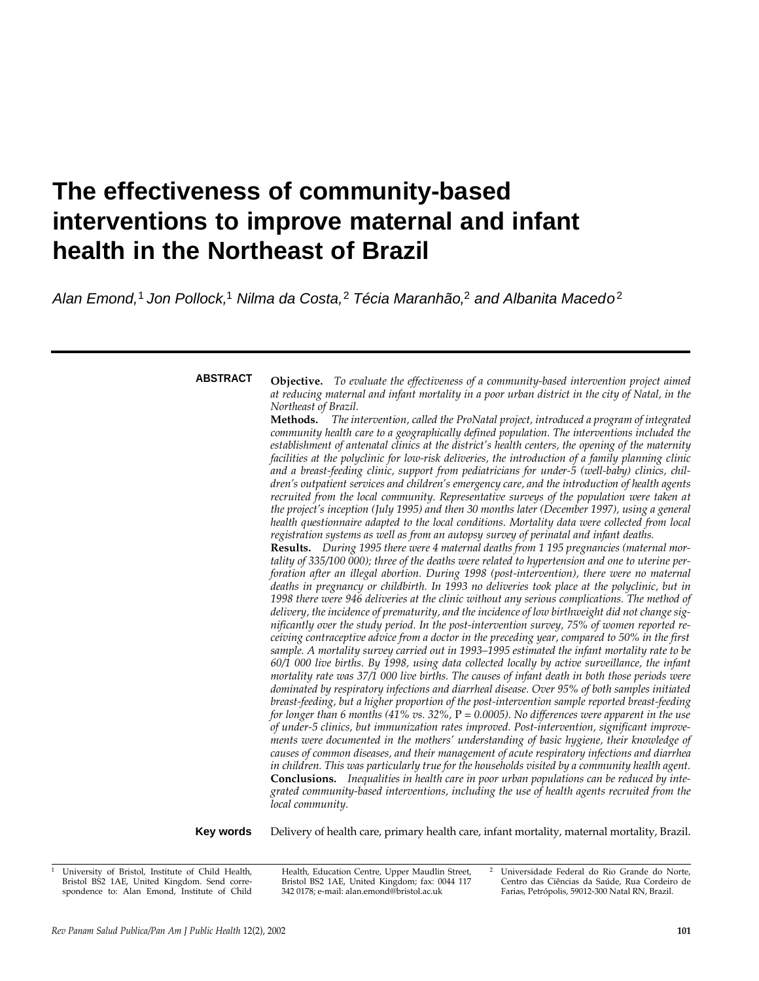# **The effectiveness of community-based interventions to improve maternal and infant health in the Northeast of Brazil**

Alan Emond,<sup>1</sup> Jon Pollock,<sup>1</sup> Nilma da Costa,<sup>2</sup> Técia Maranhão,<sup>2</sup> and Albanita Macedo<sup>2</sup>

**ABSTRACT**

**Objective.** *To evaluate the effectiveness of a community-based intervention project aimed at reducing maternal and infant mortality in a poor urban district in the city of Natal, in the Northeast of Brazil.*

**Methods.** *The intervention, called the ProNatal project, introduced a program of integrated community health care to a geographically defined population. The interventions included the establishment of antenatal clinics at the district's health centers, the opening of the maternity facilities at the polyclinic for low-risk deliveries, the introduction of a family planning clinic and a breast-feeding clinic, support from pediatricians for under-5 (well-baby) clinics, children's outpatient services and children's emergency care, and the introduction of health agents recruited from the local community. Representative surveys of the population were taken at the project's inception (July 1995) and then 30 months later (December 1997), using a general health questionnaire adapted to the local conditions. Mortality data were collected from local registration systems as well as from an autopsy survey of perinatal and infant deaths.*

**Results.** *During 1995 there were 4 maternal deaths from 1 195 pregnancies (maternal mortality of 335/100 000); three of the deaths were related to hypertension and one to uterine perforation after an illegal abortion. During 1998 (post-intervention), there were no maternal deaths in pregnancy or childbirth. In 1993 no deliveries took place at the polyclinic, but in 1998 there were 946 deliveries at the clinic without any serious complications. The method of delivery, the incidence of prematurity, and the incidence of low birthweight did not change significantly over the study period. In the post-intervention survey, 75% of women reported receiving contraceptive advice from a doctor in the preceding year, compared to 50% in the first sample. A mortality survey carried out in 1993–1995 estimated the infant mortality rate to be 60/1 000 live births. By 1998, using data collected locally by active surveillance, the infant mortality rate was 37/1 000 live births. The causes of infant death in both those periods were dominated by respiratory infections and diarrheal disease. Over 95% of both samples initiated breast-feeding, but a higher proportion of the post-intervention sample reported breast-feeding for longer than 6 months (41% vs. 32%,* P *= 0.0005). No differences were apparent in the use of under-5 clinics, but immunization rates improved. Post-intervention, significant improvements were documented in the mothers' understanding of basic hygiene, their knowledge of causes of common diseases, and their management of acute respiratory infections and diarrhea* in children. This was particularly true for the households visited by a community health agent. **Conclusions.** *Inequalities in health care in poor urban populations can be reduced by integrated community-based interventions, including the use of health agents recruited from the local community.*

**Key words**

Delivery of health care, primary health care, infant mortality, maternal mortality, Brazil.

Health, Education Centre, Upper Maudlin Street, Bristol BS2 1AE, United Kingdom; fax: 0044 117 342 0178; e-mail: alan.emond@bristol.ac.uk

<sup>2</sup> Universidade Federal do Rio Grande do Norte, Centro das Ciências da Saúde, Rua Cordeiro de Farias, Petrópolis, 59012-300 Natal RN, Brazil.

<sup>1</sup> University of Bristol, Institute of Child Health, Bristol BS2 1AE, United Kingdom. Send correspondence to: Alan Emond, Institute of Child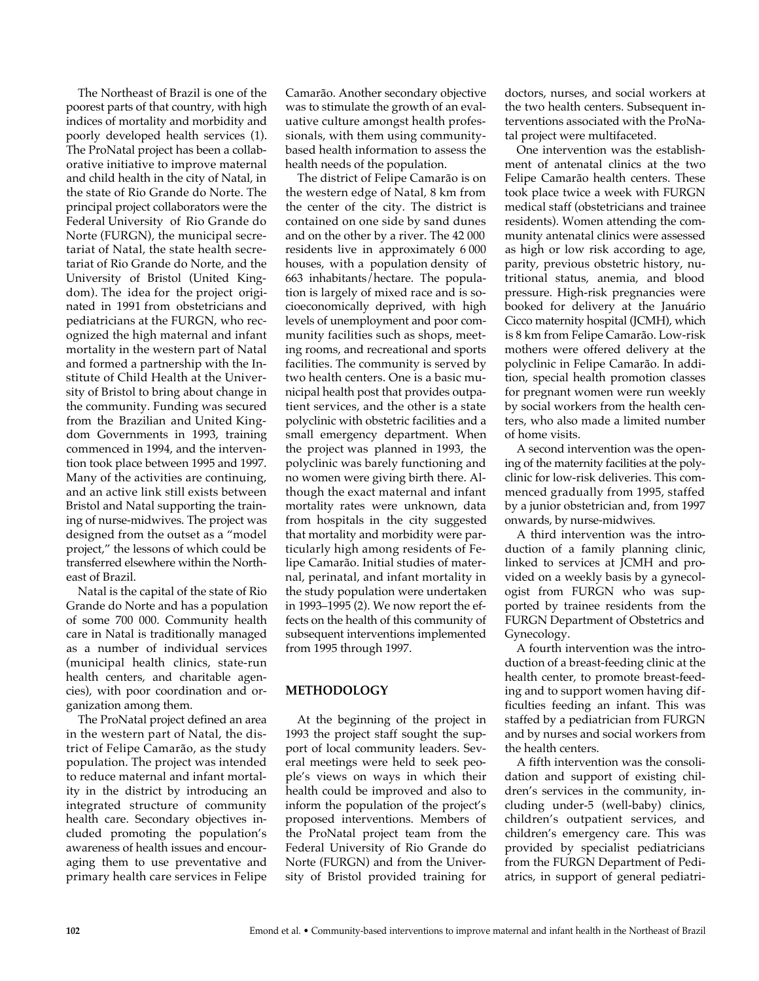The Northeast of Brazil is one of the poorest parts of that country, with high indices of mortality and morbidity and poorly developed health services (1). The ProNatal project has been a collaborative initiative to improve maternal and child health in the city of Natal, in the state of Rio Grande do Norte. The principal project collaborators were the Federal University of Rio Grande do Norte (FURGN), the municipal secretariat of Natal, the state health secretariat of Rio Grande do Norte, and the University of Bristol (United Kingdom). The idea for the project originated in 1991 from obstetricians and pediatricians at the FURGN, who recognized the high maternal and infant mortality in the western part of Natal and formed a partnership with the Institute of Child Health at the University of Bristol to bring about change in the community. Funding was secured from the Brazilian and United Kingdom Governments in 1993, training commenced in 1994, and the intervention took place between 1995 and 1997. Many of the activities are continuing, and an active link still exists between Bristol and Natal supporting the training of nurse-midwives. The project was designed from the outset as a "model project," the lessons of which could be transferred elsewhere within the Northeast of Brazil.

Natal is the capital of the state of Rio Grande do Norte and has a population of some 700 000. Community health care in Natal is traditionally managed as a number of individual services (municipal health clinics, state-run health centers, and charitable agencies), with poor coordination and organization among them.

The ProNatal project defined an area in the western part of Natal, the district of Felipe Camarão, as the study population. The project was intended to reduce maternal and infant mortality in the district by introducing an integrated structure of community health care. Secondary objectives included promoting the population's awareness of health issues and encouraging them to use preventative and primary health care services in Felipe

Camarão. Another secondary objective was to stimulate the growth of an evaluative culture amongst health professionals, with them using communitybased health information to assess the health needs of the population.

The district of Felipe Camarão is on the western edge of Natal, 8 km from the center of the city. The district is contained on one side by sand dunes and on the other by a river. The 42 000 residents live in approximately 6 000 houses, with a population density of 663 inhabitants/hectare. The population is largely of mixed race and is socioeconomically deprived, with high levels of unemployment and poor community facilities such as shops, meeting rooms, and recreational and sports facilities. The community is served by two health centers. One is a basic municipal health post that provides outpatient services, and the other is a state polyclinic with obstetric facilities and a small emergency department. When the project was planned in 1993, the polyclinic was barely functioning and no women were giving birth there. Although the exact maternal and infant mortality rates were unknown, data from hospitals in the city suggested that mortality and morbidity were particularly high among residents of Felipe Camarão. Initial studies of maternal, perinatal, and infant mortality in the study population were undertaken in 1993–1995 (2). We now report the effects on the health of this community of subsequent interventions implemented from 1995 through 1997.

## **METHODOLOGY**

At the beginning of the project in 1993 the project staff sought the support of local community leaders. Several meetings were held to seek people's views on ways in which their health could be improved and also to inform the population of the project's proposed interventions. Members of the ProNatal project team from the Federal University of Rio Grande do Norte (FURGN) and from the University of Bristol provided training for

doctors, nurses, and social workers at the two health centers. Subsequent interventions associated with the ProNatal project were multifaceted.

One intervention was the establishment of antenatal clinics at the two Felipe Camarão health centers. These took place twice a week with FURGN medical staff (obstetricians and trainee residents). Women attending the community antenatal clinics were assessed as high or low risk according to age, parity, previous obstetric history, nutritional status, anemia, and blood pressure. High-risk pregnancies were booked for delivery at the Januário Cicco maternity hospital (JCMH), which is 8 km from Felipe Camarão. Low-risk mothers were offered delivery at the polyclinic in Felipe Camarão. In addition, special health promotion classes for pregnant women were run weekly by social workers from the health centers, who also made a limited number of home visits.

A second intervention was the opening of the maternity facilities at the polyclinic for low-risk deliveries. This commenced gradually from 1995, staffed by a junior obstetrician and, from 1997 onwards, by nurse-midwives.

A third intervention was the introduction of a family planning clinic, linked to services at JCMH and provided on a weekly basis by a gynecologist from FURGN who was supported by trainee residents from the FURGN Department of Obstetrics and Gynecology.

A fourth intervention was the introduction of a breast-feeding clinic at the health center, to promote breast-feeding and to support women having difficulties feeding an infant. This was staffed by a pediatrician from FURGN and by nurses and social workers from the health centers.

A fifth intervention was the consolidation and support of existing children's services in the community, including under-5 (well-baby) clinics, children's outpatient services, and children's emergency care. This was provided by specialist pediatricians from the FURGN Department of Pediatrics, in support of general pediatri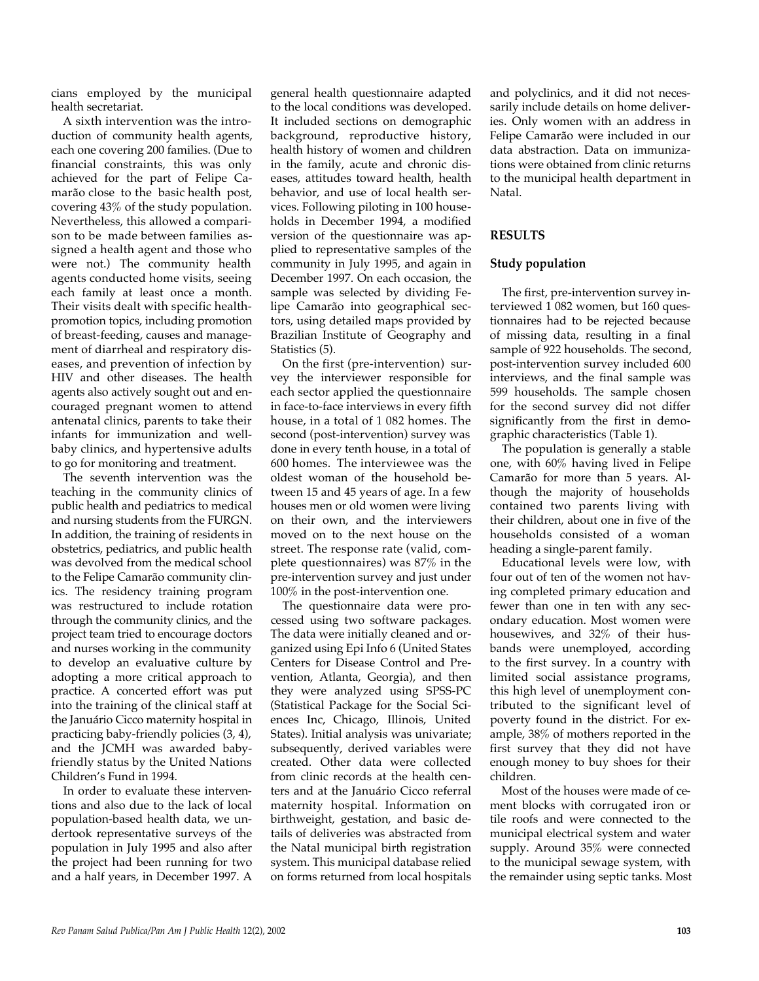cians employed by the municipal health secretariat.

A sixth intervention was the introduction of community health agents, each one covering 200 families. (Due to financial constraints, this was only achieved for the part of Felipe Camarão close to the basic health post, covering 43% of the study population. Nevertheless, this allowed a comparison to be made between families assigned a health agent and those who were not.) The community health agents conducted home visits, seeing each family at least once a month. Their visits dealt with specific healthpromotion topics, including promotion of breast-feeding, causes and management of diarrheal and respiratory diseases, and prevention of infection by HIV and other diseases. The health agents also actively sought out and encouraged pregnant women to attend antenatal clinics, parents to take their infants for immunization and wellbaby clinics, and hypertensive adults to go for monitoring and treatment.

The seventh intervention was the teaching in the community clinics of public health and pediatrics to medical and nursing students from the FURGN. In addition, the training of residents in obstetrics, pediatrics, and public health was devolved from the medical school to the Felipe Camarão community clinics. The residency training program was restructured to include rotation through the community clinics, and the project team tried to encourage doctors and nurses working in the community to develop an evaluative culture by adopting a more critical approach to practice. A concerted effort was put into the training of the clinical staff at the Januário Cicco maternity hospital in practicing baby-friendly policies (3, 4), and the JCMH was awarded babyfriendly status by the United Nations Children's Fund in 1994.

In order to evaluate these interventions and also due to the lack of local population-based health data, we undertook representative surveys of the population in July 1995 and also after the project had been running for two and a half years, in December 1997. A general health questionnaire adapted to the local conditions was developed. It included sections on demographic background, reproductive history, health history of women and children in the family, acute and chronic diseases, attitudes toward health, health behavior, and use of local health services. Following piloting in 100 households in December 1994, a modified version of the questionnaire was applied to representative samples of the community in July 1995, and again in December 1997. On each occasion, the sample was selected by dividing Felipe Camarão into geographical sectors, using detailed maps provided by Brazilian Institute of Geography and Statistics (5).

On the first (pre-intervention) survey the interviewer responsible for each sector applied the questionnaire in face-to-face interviews in every fifth house, in a total of 1 082 homes. The second (post-intervention) survey was done in every tenth house, in a total of 600 homes. The interviewee was the oldest woman of the household between 15 and 45 years of age. In a few houses men or old women were living on their own, and the interviewers moved on to the next house on the street. The response rate (valid, complete questionnaires) was 87% in the pre-intervention survey and just under 100% in the post-intervention one.

The questionnaire data were processed using two software packages. The data were initially cleaned and organized using Epi Info 6 (United States Centers for Disease Control and Prevention, Atlanta, Georgia), and then they were analyzed using SPSS-PC (Statistical Package for the Social Sciences Inc, Chicago, Illinois, United States). Initial analysis was univariate; subsequently, derived variables were created. Other data were collected from clinic records at the health centers and at the Januário Cicco referral maternity hospital. Information on birthweight, gestation, and basic details of deliveries was abstracted from the Natal municipal birth registration system. This municipal database relied on forms returned from local hospitals and polyclinics, and it did not necessarily include details on home deliveries. Only women with an address in Felipe Camarão were included in our data abstraction. Data on immunizations were obtained from clinic returns to the municipal health department in Natal.

### **RESULTS**

#### **Study population**

The first, pre-intervention survey interviewed 1 082 women, but 160 questionnaires had to be rejected because of missing data, resulting in a final sample of 922 households. The second, post-intervention survey included 600 interviews, and the final sample was 599 households. The sample chosen for the second survey did not differ significantly from the first in demographic characteristics (Table 1).

The population is generally a stable one, with 60% having lived in Felipe Camarão for more than 5 years. Although the majority of households contained two parents living with their children, about one in five of the households consisted of a woman heading a single-parent family.

Educational levels were low, with four out of ten of the women not having completed primary education and fewer than one in ten with any secondary education. Most women were housewives, and 32% of their husbands were unemployed, according to the first survey. In a country with limited social assistance programs, this high level of unemployment contributed to the significant level of poverty found in the district. For example, 38% of mothers reported in the first survey that they did not have enough money to buy shoes for their children.

Most of the houses were made of cement blocks with corrugated iron or tile roofs and were connected to the municipal electrical system and water supply. Around 35% were connected to the municipal sewage system, with the remainder using septic tanks. Most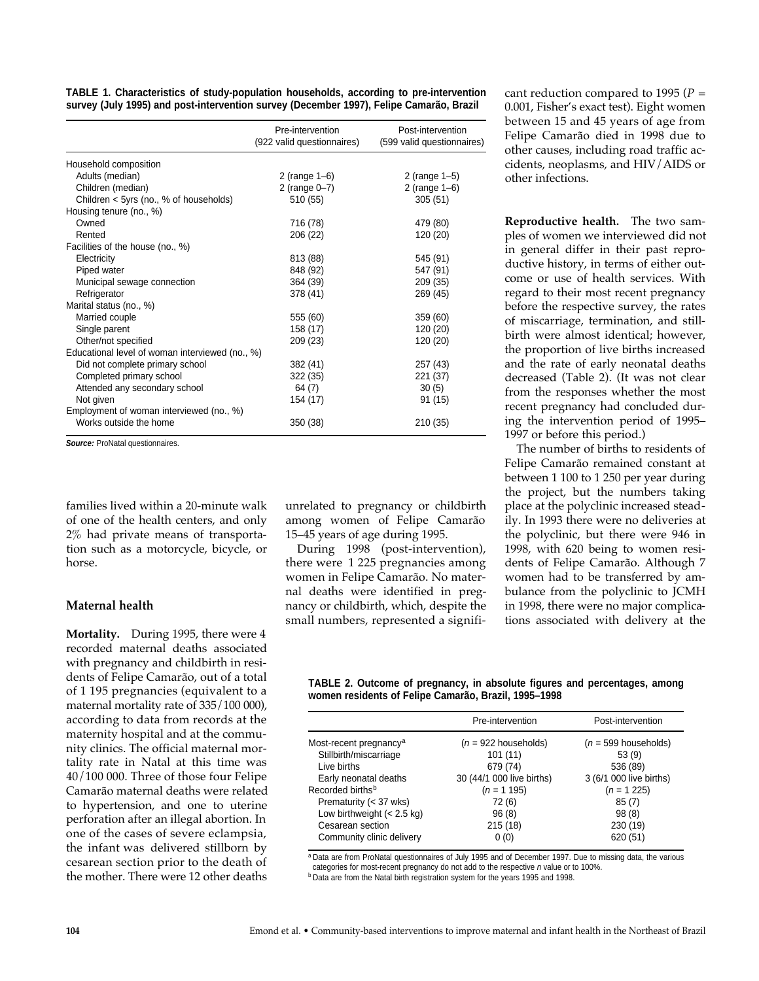| TABLE 1. Characteristics of study-population households, according to pre-intervention  |  |  |
|-----------------------------------------------------------------------------------------|--|--|
| survey (July 1995) and post-intervention survey (December 1997), Felipe Camarão, Brazil |  |  |

|                                                 | Pre-intervention<br>(922 valid questionnaires) | Post-intervention<br>(599 valid questionnaires) |
|-------------------------------------------------|------------------------------------------------|-------------------------------------------------|
| Household composition                           |                                                |                                                 |
| Adults (median)                                 | 2 (range $1-6$ )                               | 2 (range $1-5$ )                                |
| Children (median)                               | 2 (range 0-7)                                  | 2 (range $1-6$ )                                |
| Children < 5yrs (no., % of households)          | 510 (55)                                       | 305(51)                                         |
| Housing tenure (no., %)                         |                                                |                                                 |
| Owned                                           | 716 (78)                                       | 479 (80)                                        |
| Rented                                          | 206 (22)                                       | 120 (20)                                        |
| Facilities of the house (no., %)                |                                                |                                                 |
| Electricity                                     | 813 (88)                                       | 545 (91)                                        |
| Piped water                                     | 848 (92)                                       | 547 (91)                                        |
| Municipal sewage connection                     | 364 (39)                                       | 209 (35)                                        |
| Refrigerator                                    | 378 (41)                                       | 269 (45)                                        |
| Marital status (no., %)                         |                                                |                                                 |
| Married couple                                  | 555 (60)                                       | 359 (60)                                        |
| Single parent                                   | 158 (17)                                       | 120 (20)                                        |
| Other/not specified                             | 209 (23)                                       | 120 (20)                                        |
| Educational level of woman interviewed (no., %) |                                                |                                                 |
| Did not complete primary school                 | 382 (41)                                       | 257 (43)                                        |
| Completed primary school                        | 322 (35)                                       | 221 (37)                                        |
| Attended any secondary school                   | 64 (7)                                         | 30(5)                                           |
| Not given                                       | 154 (17)                                       | 91 (15)                                         |
| Employment of woman interviewed (no., %)        |                                                |                                                 |
| Works outside the home                          | 350 (38)                                       | 210 (35)                                        |

**Source:** ProNatal questionnaires.

families lived within a 20-minute walk of one of the health centers, and only 2% had private means of transportation such as a motorcycle, bicycle, or horse.

#### **Maternal health**

**Mortality.** During 1995, there were 4 recorded maternal deaths associated with pregnancy and childbirth in residents of Felipe Camarão, out of a total of 1 195 pregnancies (equivalent to a maternal mortality rate of 335/100 000), according to data from records at the maternity hospital and at the community clinics. The official maternal mortality rate in Natal at this time was 40/100 000. Three of those four Felipe Camarão maternal deaths were related to hypertension, and one to uterine perforation after an illegal abortion. In one of the cases of severe eclampsia, the infant was delivered stillborn by cesarean section prior to the death of the mother. There were 12 other deaths unrelated to pregnancy or childbirth among women of Felipe Camarão 15–45 years of age during 1995.

During 1998 (post-intervention), there were 1 225 pregnancies among women in Felipe Camarão. No maternal deaths were identified in pregnancy or childbirth, which, despite the small numbers, represented a significant reduction compared to 1995 (*P* = 0.001, Fisher's exact test). Eight women between 15 and 45 years of age from Felipe Camarão died in 1998 due to other causes, including road traffic accidents, neoplasms, and HIV/AIDS or other infections.

**Reproductive health.** The two samples of women we interviewed did not in general differ in their past reproductive history, in terms of either outcome or use of health services. With regard to their most recent pregnancy before the respective survey, the rates of miscarriage, termination, and stillbirth were almost identical; however, the proportion of live births increased and the rate of early neonatal deaths decreased (Table 2). (It was not clear from the responses whether the most recent pregnancy had concluded during the intervention period of 1995– 1997 or before this period.)

The number of births to residents of Felipe Camarão remained constant at between 1 100 to 1 250 per year during the project, but the numbers taking place at the polyclinic increased steadily. In 1993 there were no deliveries at the polyclinic, but there were 946 in 1998, with 620 being to women residents of Felipe Camarão. Although 7 women had to be transferred by ambulance from the polyclinic to JCMH in 1998, there were no major complications associated with delivery at the

**TABLE 2. Outcome of pregnancy, in absolute figures and percentages, among women residents of Felipe Camarão, Brazil, 1995–1998** 

|                                    | Pre-intervention          | Post-intervention       |
|------------------------------------|---------------------------|-------------------------|
| Most-recent pregnancy <sup>a</sup> | $(n = 922$ households)    | $(n = 599$ households)  |
| Stillbirth/miscarriage             | 101(11)                   | 53(9)                   |
| Live births                        | 679 (74)                  | 536 (89)                |
| Early neonatal deaths              | 30 (44/1 000 live births) | 3 (6/1 000 live births) |
| Recorded births <sup>b</sup>       | $(n = 1 195)$             | $(n = 1225)$            |
| Prematurity (< 37 wks)             | 72 (6)                    | 85(7)                   |
| Low birthweight $(< 2.5$ kg)       | 96(8)                     | 98(8)                   |
| Cesarean section                   | 215(18)                   | 230 (19)                |
| Community clinic delivery          | 0(0)                      | 620 (51)                |

a<br>**Data are from ProNatal questionnaires of July 1995 and of December 1997. Due to missing data, the various** 

categories for most-recent pregnancy do not add to the respective n value or to 100%.

**b Data are from the Natal birth registration system for the years 1995 and 1998.**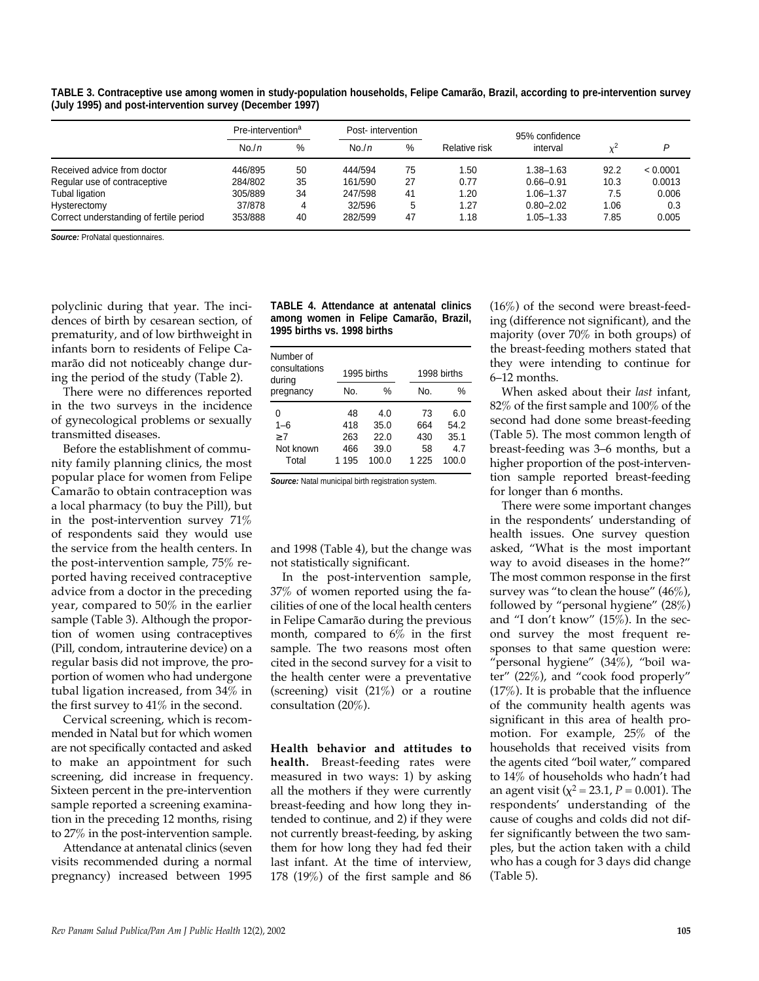**TABLE 3. Contraceptive use among women in study-population households, Felipe Camarão, Brazil, according to pre-intervention survey (July 1995) and post-intervention survey (December 1997)**

|                                         | Pre-intervention <sup>a</sup> |    | Post-intervention |    |               | 95% confidence |      |          |
|-----------------------------------------|-------------------------------|----|-------------------|----|---------------|----------------|------|----------|
|                                         | No./n                         | %  | No.n              | %  | Relative risk | interval       |      | D        |
| Received advice from doctor             | 446/895                       | 50 | 444/594           | 75 | 1.50          | $1.38 - 1.63$  | 92.2 | < 0.0001 |
| Regular use of contraceptive            | 284/802                       | 35 | 161/590           | 27 | 0.77          | $0.66 - 0.91$  | 10.3 | 0.0013   |
| Tubal ligation                          | 305/889                       | 34 | 247/598           | 41 | 1.20          | $1.06 - 1.37$  | 7.5  | 0.006    |
| Hysterectomy                            | 37/878                        | 4  | 32/596            | 5  | 1.27          | $0.80 - 2.02$  | 1.06 | 0.3      |
| Correct understanding of fertile period | 353/888                       | 40 | 282/599           | 47 | 1.18          | $1.05 - 1.33$  | 7.85 | 0.005    |

**Source:** ProNatal questionnaires.

polyclinic during that year. The incidences of birth by cesarean section, of prematurity, and of low birthweight in infants born to residents of Felipe Camarão did not noticeably change during the period of the study (Table 2).

There were no differences reported in the two surveys in the incidence of gynecological problems or sexually transmitted diseases.

Before the establishment of community family planning clinics, the most popular place for women from Felipe Camarão to obtain contraception was a local pharmacy (to buy the Pill), but in the post-intervention survey 71% of respondents said they would use the service from the health centers. In the post-intervention sample, 75% reported having received contraceptive advice from a doctor in the preceding year, compared to 50% in the earlier sample (Table 3). Although the proportion of women using contraceptives (Pill, condom, intrauterine device) on a regular basis did not improve, the proportion of women who had undergone tubal ligation increased, from 34% in the first survey to 41% in the second.

Cervical screening, which is recommended in Natal but for which women are not specifically contacted and asked to make an appointment for such screening, did increase in frequency. Sixteen percent in the pre-intervention sample reported a screening examination in the preceding 12 months, rising to 27% in the post-intervention sample.

Attendance at antenatal clinics (seven visits recommended during a normal pregnancy) increased between 1995

|                             |  |  | TABLE 4. Attendance at antenatal clinics |  |
|-----------------------------|--|--|------------------------------------------|--|
|                             |  |  | among women in Felipe Camarão, Brazil,   |  |
| 1995 births vs. 1998 births |  |  |                                          |  |

| Number of<br>consultations<br>during |     | 1995 births |       | 1998 births |  |  |
|--------------------------------------|-----|-------------|-------|-------------|--|--|
| pregnancy                            | No. | %           | No.   | %           |  |  |
| 0                                    | 48  | 4.0         | 73    | 6.0         |  |  |
| $1 - 6$                              | 418 | 35.0        | 664   | 54.2        |  |  |
| 7                                    | 263 | 22.0        | 430   | 35.1        |  |  |
| Not known                            | 466 | 39.0        | 58    | 4.7         |  |  |
| Total                                | 195 | 100.0       | 1 225 | 100.0       |  |  |

**Source:** Natal municipal birth registration system.

and 1998 (Table 4), but the change was not statistically significant.

In the post-intervention sample, 37% of women reported using the facilities of one of the local health centers in Felipe Camarão during the previous month, compared to 6% in the first sample. The two reasons most often cited in the second survey for a visit to the health center were a preventative (screening) visit  $(21\%)$  or a routine consultation (20%).

**Health behavior and attitudes to** health. Breast-feeding rates were measured in two ways: 1) by asking all the mothers if they were currently breast-feeding and how long they intended to continue, and 2) if they were not currently breast-feeding, by asking them for how long they had fed their last infant. At the time of interview, 178 (19%) of the first sample and 86

(16%) of the second were breast-feeding (difference not significant), and the majority (over 70% in both groups) of the breast-feeding mothers stated that they were intending to continue for 6–12 months.

When asked about their *last* infant, 82% of the first sample and 100% of the second had done some breast-feeding (Table 5). The most common length of breast-feeding was 3–6 months, but a higher proportion of the post-intervention sample reported breast-feeding for longer than 6 months.

There were some important changes in the respondents' understanding of health issues. One survey question asked, "What is the most important way to avoid diseases in the home?" The most common response in the first survey was "to clean the house"  $(46\%)$ , followed by "personal hygiene" (28%) and "I don't know" (15%). In the second survey the most frequent responses to that same question were: "personal hygiene" (34%), "boil water" (22%), and "cook food properly" (17%). It is probable that the influence of the community health agents was significant in this area of health promotion. For example, 25% of the households that received visits from the agents cited "boil water," compared to 14% of households who hadn't had an agent visit ( $\chi^2$  = 23.1, *P* = 0.001). The respondents' understanding of the cause of coughs and colds did not differ significantly between the two samples, but the action taken with a child who has a cough for 3 days did change (Table 5).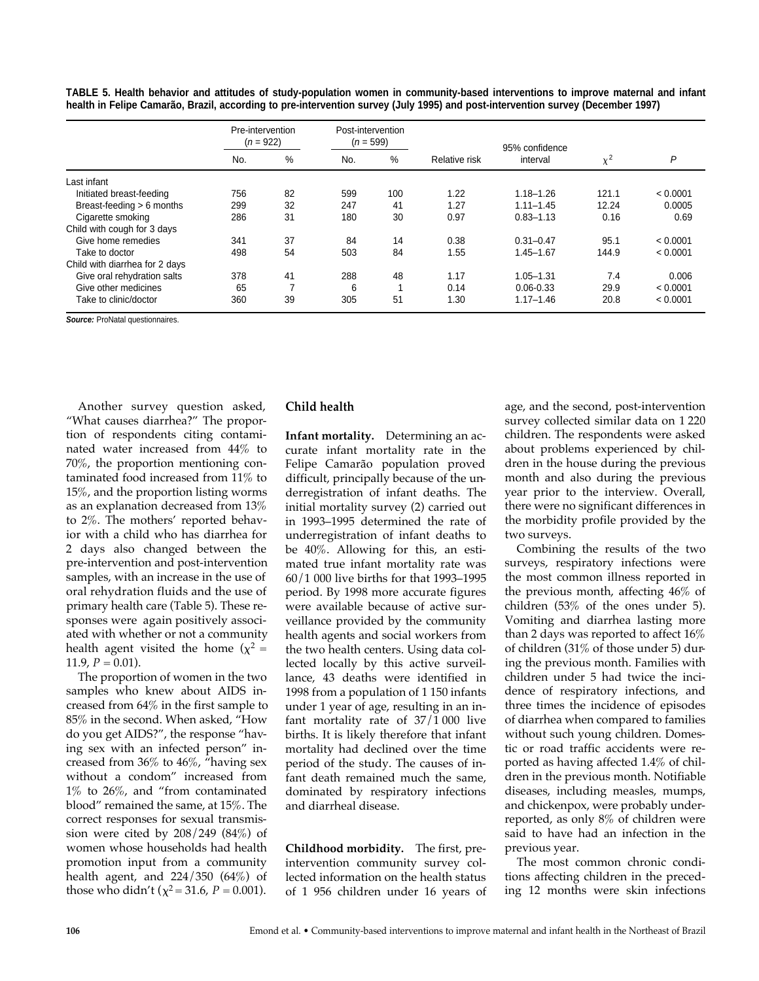|                                | Pre-intervention<br>$(n = 922)$ |    | Post-intervention<br>$(n = 599)$ |     |               | 95% confidence |                 |          |
|--------------------------------|---------------------------------|----|----------------------------------|-----|---------------|----------------|-----------------|----------|
|                                | No.                             | %  | No.                              | %   | Relative risk | interval       | $\mathcal{V}^2$ | P        |
| Last infant                    |                                 |    |                                  |     |               |                |                 |          |
| Initiated breast-feeding       | 756                             | 82 | 599                              | 100 | 1.22          | $1.18 - 1.26$  | 121.1           | < 0.0001 |
| Breast-feeding > 6 months      | 299                             | 32 | 247                              | 41  | 1.27          | $1.11 - 1.45$  | 12.24           | 0.0005   |
| Cigarette smoking              | 286                             | 31 | 180                              | 30  | 0.97          | $0.83 - 1.13$  | 0.16            | 0.69     |
| Child with cough for 3 days    |                                 |    |                                  |     |               |                |                 |          |
| Give home remedies             | 341                             | 37 | 84                               | 14  | 0.38          | $0.31 - 0.47$  | 95.1            | < 0.0001 |
| Take to doctor                 | 498                             | 54 | 503                              | 84  | 1.55          | $1.45 - 1.67$  | 144.9           | < 0.0001 |
| Child with diarrhea for 2 days |                                 |    |                                  |     |               |                |                 |          |
| Give oral rehydration salts    | 378                             | 41 | 288                              | 48  | 1.17          | $1.05 - 1.31$  | 7.4             | 0.006    |
| Give other medicines           | 65                              |    | 6                                |     | 0.14          | $0.06 - 0.33$  | 29.9            | < 0.0001 |
| Take to clinic/doctor          | 360                             | 39 | 305                              | 51  | 1.30          | $1.17 - 1.46$  | 20.8            | < 0.0001 |

**TABLE 5. Health behavior and attitudes of study-population women in community-based interventions to improve maternal and infant health in Felipe Camarão, Brazil, according to pre-intervention survey (July 1995) and post-intervention survey (December 1997)** 

**Source:** ProNatal questionnaires.

Another survey question asked, "What causes diarrhea?" The proportion of respondents citing contaminated water increased from 44% to 70%, the proportion mentioning contaminated food increased from 11% to 15%, and the proportion listing worms as an explanation decreased from 13% to 2%. The mothers' reported behavior with a child who has diarrhea for 2 days also changed between the pre-intervention and post-intervention samples, with an increase in the use of oral rehydration fluids and the use of primary health care (Table 5). These responses were again positively associated with whether or not a community health agent visited the home ( $\chi^2 =$ 11.9,  $P = 0.01$ ).

The proportion of women in the two samples who knew about AIDS increased from 64% in the first sample to 85% in the second. When asked, "How do you get AIDS?", the response "having sex with an infected person" increased from 36% to 46%, "having sex without a condom" increased from 1% to 26%, and "from contaminated blood" remained the same, at 15%. The correct responses for sexual transmission were cited by 208/249 (84%) of women whose households had health promotion input from a community health agent, and 224/350 (64%) of those who didn't ( $\chi^2$  = 31.6, *P* = 0.001).

## **Child health**

**Infant mortality.** Determining an accurate infant mortality rate in the Felipe Camarão population proved difficult, principally because of the underregistration of infant deaths. The initial mortality survey (2) carried out in 1993–1995 determined the rate of underregistration of infant deaths to be 40%. Allowing for this, an estimated true infant mortality rate was 60/1 000 live births for that 1993–1995 period. By 1998 more accurate figures were available because of active surveillance provided by the community health agents and social workers from the two health centers. Using data collected locally by this active surveillance, 43 deaths were identified in 1998 from a population of 1 150 infants under 1 year of age, resulting in an infant mortality rate of 37/1 000 live births. It is likely therefore that infant mortality had declined over the time period of the study. The causes of infant death remained much the same, dominated by respiratory infections and diarrheal disease.

**Childhood morbidity.** The first, preintervention community survey collected information on the health status of 1 956 children under 16 years of

age, and the second, post-intervention survey collected similar data on 1 220 children. The respondents were asked about problems experienced by children in the house during the previous month and also during the previous year prior to the interview. Overall, there were no significant differences in the morbidity profile provided by the two surveys.

Combining the results of the two surveys, respiratory infections were the most common illness reported in the previous month, affecting 46% of children (53% of the ones under 5). Vomiting and diarrhea lasting more than 2 days was reported to affect  $16\%$ of children (31% of those under 5) during the previous month. Families with children under 5 had twice the incidence of respiratory infections, and three times the incidence of episodes of diarrhea when compared to families without such young children. Domestic or road traffic accidents were reported as having affected 1.4% of children in the previous month. Notifiable diseases, including measles, mumps, and chickenpox, were probably underreported, as only 8% of children were said to have had an infection in the previous year.

The most common chronic conditions affecting children in the preceding 12 months were skin infections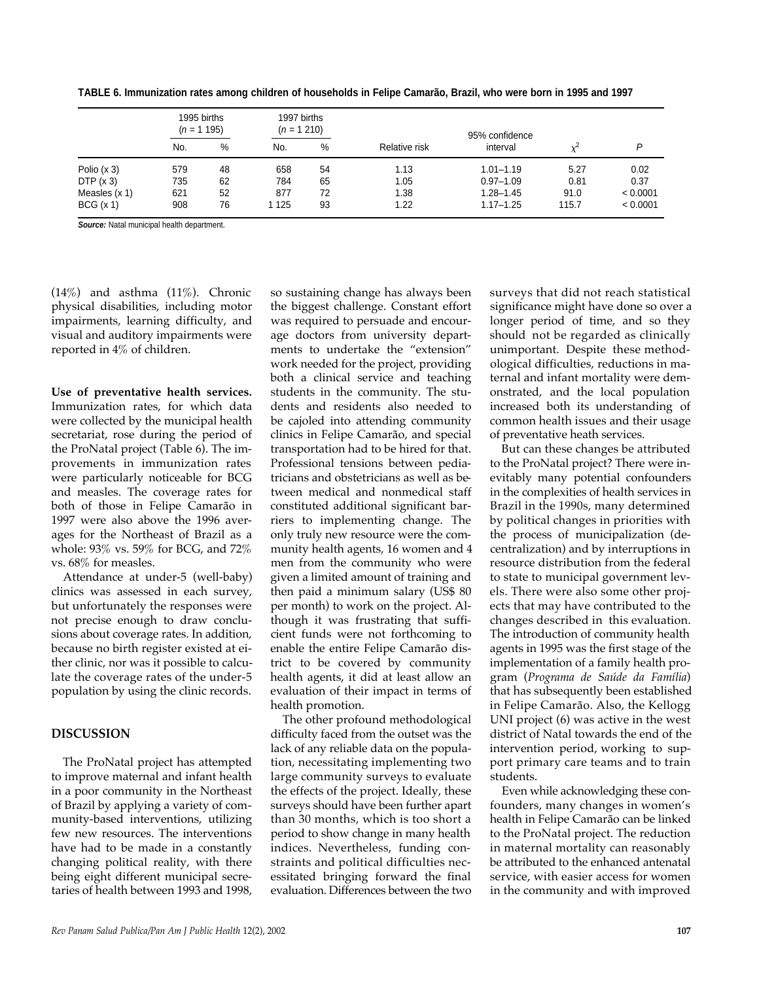|                 | 1995 births<br>$(n = 1 195)$ |    | 1997 births<br>$(n = 1 210)$ |    |               | 95% confidence |       |          |
|-----------------|------------------------------|----|------------------------------|----|---------------|----------------|-------|----------|
|                 | No.                          | %  | No.                          | %  | Relative risk | interval       |       | D        |
| Polio $(x 3)$   | 579                          | 48 | 658                          | 54 | 1.13          | $1.01 - 1.19$  | 5.27  | 0.02     |
| DTP(x3)         | 735                          | 62 | 784                          | 65 | 1.05          | $0.97 - 1.09$  | 0.81  | 0.37     |
| Measles $(x 1)$ | 621                          | 52 | 877                          | 72 | 1.38          | $1.28 - 1.45$  | 91.0  | < 0.0001 |
| BCG(x 1)        | 908                          | 76 | 1 1 2 5                      | 93 | 1.22          | $1.17 - 1.25$  | 115.7 | < 0.0001 |

**TABLE 6. Immunization rates among children of households in Felipe Camarão, Brazil, who were born in 1995 and 1997** 

**Source:** Natal municipal health department.

(14%) and asthma (11%). Chronic physical disabilities, including motor impairments, learning difficulty, and visual and auditory impairments were reported in 4% of children.

**Use of preventative health services.** Immunization rates, for which data were collected by the municipal health secretariat, rose during the period of the ProNatal project (Table 6). The improvements in immunization rates were particularly noticeable for BCG and measles. The coverage rates for both of those in Felipe Camarão in 1997 were also above the 1996 averages for the Northeast of Brazil as a whole: 93% vs. 59% for BCG, and 72% vs. 68% for measles.

Attendance at under-5 (well-baby) clinics was assessed in each survey, but unfortunately the responses were not precise enough to draw conclusions about coverage rates. In addition, because no birth register existed at either clinic, nor was it possible to calculate the coverage rates of the under-5 population by using the clinic records.

## **DISCUSSION**

The ProNatal project has attempted to improve maternal and infant health in a poor community in the Northeast of Brazil by applying a variety of community-based interventions, utilizing few new resources. The interventions have had to be made in a constantly changing political reality, with there being eight different municipal secretaries of health between 1993 and 1998, so sustaining change has always been the biggest challenge. Constant effort was required to persuade and encourage doctors from university departments to undertake the "extension" work needed for the project, providing both a clinical service and teaching students in the community. The students and residents also needed to be cajoled into attending community clinics in Felipe Camarão, and special transportation had to be hired for that. Professional tensions between pediatricians and obstetricians as well as between medical and nonmedical staff constituted additional significant barriers to implementing change. The only truly new resource were the community health agents, 16 women and 4 men from the community who were given a limited amount of training and then paid a minimum salary (US\$ 80 per month) to work on the project. Although it was frustrating that sufficient funds were not forthcoming to enable the entire Felipe Camarão district to be covered by community health agents, it did at least allow an evaluation of their impact in terms of health promotion.

The other profound methodological difficulty faced from the outset was the lack of any reliable data on the population, necessitating implementing two large community surveys to evaluate the effects of the project. Ideally, these surveys should have been further apart than 30 months, which is too short a period to show change in many health indices. Nevertheless, funding constraints and political difficulties necessitated bringing forward the final evaluation. Differences between the two surveys that did not reach statistical significance might have done so over a longer period of time, and so they should not be regarded as clinically unimportant. Despite these methodological difficulties, reductions in maternal and infant mortality were demonstrated, and the local population increased both its understanding of common health issues and their usage of preventative heath services.

But can these changes be attributed to the ProNatal project? There were inevitably many potential confounders in the complexities of health services in Brazil in the 1990s, many determined by political changes in priorities with the process of municipalization (decentralization) and by interruptions in resource distribution from the federal to state to municipal government levels. There were also some other projects that may have contributed to the changes described in this evaluation. The introduction of community health agents in 1995 was the first stage of the implementation of a family health program (*Programa de Saúde da Família*) that has subsequently been established in Felipe Camarão. Also, the Kellogg UNI project (6) was active in the west district of Natal towards the end of the intervention period, working to support primary care teams and to train students.

Even while acknowledging these confounders, many changes in women's health in Felipe Camarão can be linked to the ProNatal project. The reduction in maternal mortality can reasonably be attributed to the enhanced antenatal service, with easier access for women in the community and with improved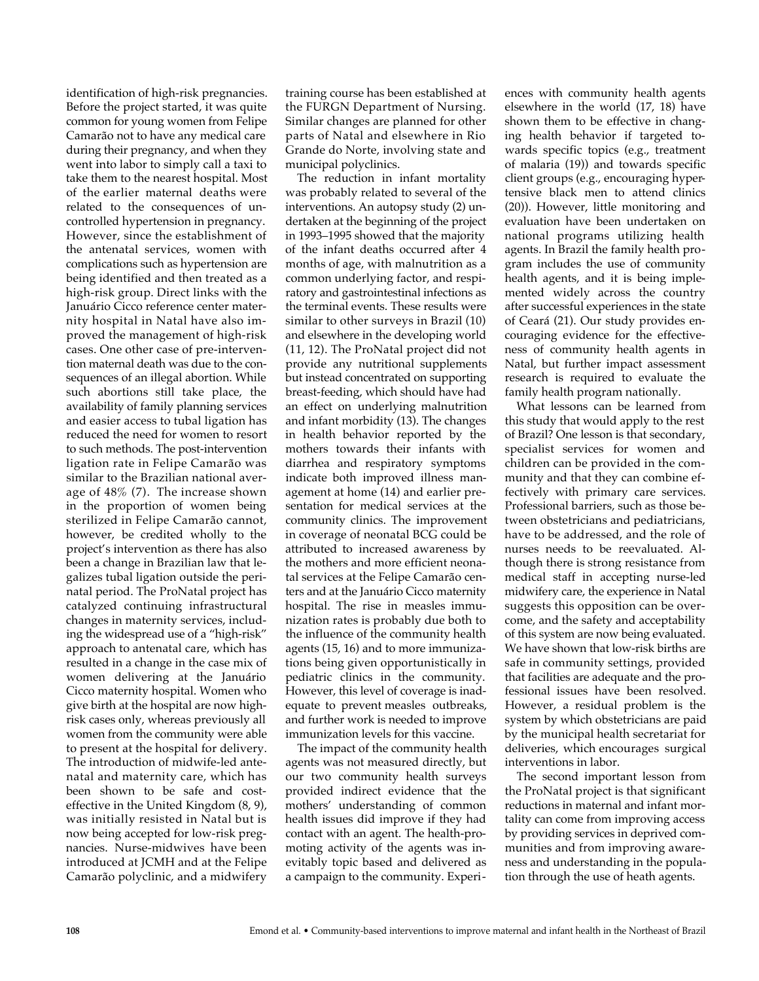identification of high-risk pregnancies. Before the project started, it was quite common for young women from Felipe Camarão not to have any medical care during their pregnancy, and when they went into labor to simply call a taxi to take them to the nearest hospital. Most of the earlier maternal deaths were related to the consequences of uncontrolled hypertension in pregnancy. However, since the establishment of the antenatal services, women with complications such as hypertension are being identified and then treated as a high-risk group. Direct links with the Januário Cicco reference center maternity hospital in Natal have also improved the management of high-risk cases. One other case of pre-intervention maternal death was due to the consequences of an illegal abortion. While such abortions still take place, the availability of family planning services and easier access to tubal ligation has reduced the need for women to resort to such methods. The post-intervention ligation rate in Felipe Camarão was similar to the Brazilian national average of 48% (7). The increase shown in the proportion of women being sterilized in Felipe Camarão cannot, however, be credited wholly to the project's intervention as there has also been a change in Brazilian law that legalizes tubal ligation outside the perinatal period. The ProNatal project has catalyzed continuing infrastructural changes in maternity services, including the widespread use of a "high-risk" approach to antenatal care, which has resulted in a change in the case mix of women delivering at the Januário Cicco maternity hospital. Women who give birth at the hospital are now highrisk cases only, whereas previously all women from the community were able to present at the hospital for delivery. The introduction of midwife-led antenatal and maternity care, which has been shown to be safe and costeffective in the United Kingdom (8, 9), was initially resisted in Natal but is now being accepted for low-risk pregnancies. Nurse-midwives have been introduced at JCMH and at the Felipe Camarão polyclinic, and a midwifery

training course has been established at the FURGN Department of Nursing. Similar changes are planned for other parts of Natal and elsewhere in Rio Grande do Norte, involving state and municipal polyclinics.

The reduction in infant mortality was probably related to several of the interventions. An autopsy study (2) undertaken at the beginning of the project in 1993–1995 showed that the majority of the infant deaths occurred after 4 months of age, with malnutrition as a common underlying factor, and respiratory and gastrointestinal infections as the terminal events. These results were similar to other surveys in Brazil (10) and elsewhere in the developing world (11, 12). The ProNatal project did not provide any nutritional supplements but instead concentrated on supporting breast-feeding, which should have had an effect on underlying malnutrition and infant morbidity (13). The changes in health behavior reported by the mothers towards their infants with diarrhea and respiratory symptoms indicate both improved illness management at home (14) and earlier presentation for medical services at the community clinics. The improvement in coverage of neonatal BCG could be attributed to increased awareness by the mothers and more efficient neonatal services at the Felipe Camarão centers and at the Januário Cicco maternity hospital. The rise in measles immunization rates is probably due both to the influence of the community health agents (15, 16) and to more immunizations being given opportunistically in pediatric clinics in the community. However, this level of coverage is inadequate to prevent measles outbreaks, and further work is needed to improve immunization levels for this vaccine.

The impact of the community health agents was not measured directly, but our two community health surveys provided indirect evidence that the mothers' understanding of common health issues did improve if they had contact with an agent. The health-promoting activity of the agents was inevitably topic based and delivered as a campaign to the community. Experiences with community health agents elsewhere in the world (17, 18) have shown them to be effective in changing health behavior if targeted towards specific topics (e.g., treatment of malaria (19)) and towards specific client groups (e.g., encouraging hypertensive black men to attend clinics (20)). However, little monitoring and evaluation have been undertaken on national programs utilizing health agents. In Brazil the family health program includes the use of community health agents, and it is being implemented widely across the country after successful experiences in the state of Ceará (21). Our study provides encouraging evidence for the effectiveness of community health agents in Natal, but further impact assessment research is required to evaluate the family health program nationally.

What lessons can be learned from this study that would apply to the rest of Brazil? One lesson is that secondary, specialist services for women and children can be provided in the community and that they can combine effectively with primary care services. Professional barriers, such as those between obstetricians and pediatricians, have to be addressed, and the role of nurses needs to be reevaluated. Although there is strong resistance from medical staff in accepting nurse-led midwifery care, the experience in Natal suggests this opposition can be overcome, and the safety and acceptability of this system are now being evaluated. We have shown that low-risk births are safe in community settings, provided that facilities are adequate and the professional issues have been resolved. However, a residual problem is the system by which obstetricians are paid by the municipal health secretariat for deliveries, which encourages surgical interventions in labor.

The second important lesson from the ProNatal project is that significant reductions in maternal and infant mortality can come from improving access by providing services in deprived communities and from improving awareness and understanding in the population through the use of heath agents.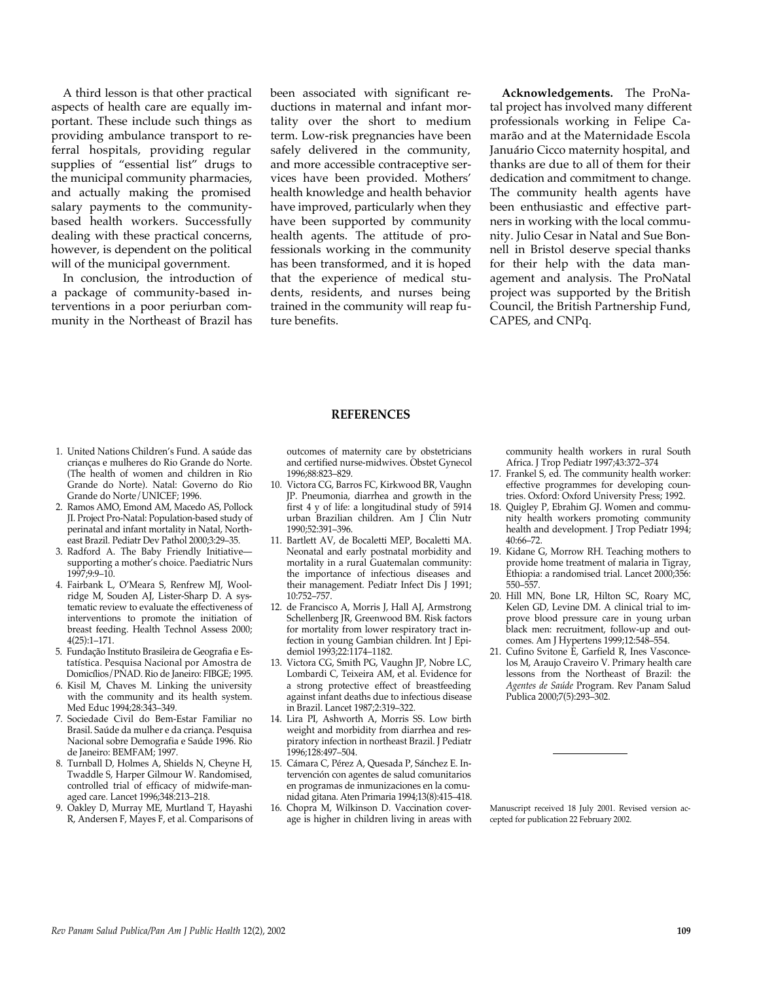A third lesson is that other practical aspects of health care are equally important. These include such things as providing ambulance transport to referral hospitals, providing regular supplies of "essential list" drugs to the municipal community pharmacies, and actually making the promised salary payments to the communitybased health workers. Successfully dealing with these practical concerns, however, is dependent on the political will of the municipal government.

In conclusion, the introduction of a package of community-based interventions in a poor periurban community in the Northeast of Brazil has been associated with significant reductions in maternal and infant mortality over the short to medium term. Low-risk pregnancies have been safely delivered in the community, and more accessible contraceptive services have been provided. Mothers' health knowledge and health behavior have improved, particularly when they have been supported by community health agents. The attitude of professionals working in the community has been transformed, and it is hoped that the experience of medical students, residents, and nurses being trained in the community will reap future benefits.

Acknowledgements. The ProNatal project has involved many different professionals working in Felipe Camarão and at the Maternidade Escola Januário Cicco maternity hospital, and thanks are due to all of them for their dedication and commitment to change. The community health agents have been enthusiastic and effective partners in working with the local community. Julio Cesar in Natal and Sue Bonnell in Bristol deserve special thanks for their help with the data management and analysis. The ProNatal project was supported by the British Council, the British Partnership Fund, CAPES, and CNPq.

#### **REFERENCES**

outcomes of maternity care by obstetricians and certified nurse-midwives. Obstet Gynecol 1996;88:823–829.

- 10. Victora CG, Barros FC, Kirkwood BR, Vaughn JP. Pneumonia, diarrhea and growth in the first 4 y of life: a longitudinal study of 5914 urban Brazilian children. Am J Clin Nutr 1990;52:391–396.
- 11. Bartlett AV, de Bocaletti MEP, Bocaletti MA. Neonatal and early postnatal morbidity and mortality in a rural Guatemalan community: the importance of infectious diseases and their management. Pediatr Infect Dis J 1991; 10:752–757.
- 12. de Francisco A, Morris J, Hall AJ, Armstrong Schellenberg JR, Greenwood BM. Risk factors for mortality from lower respiratory tract infection in young Gambian children. Int J Epidemiol 1993;22:1174–1182.
- 13. Victora CG, Smith PG, Vaughn JP, Nobre LC, Lombardi C, Teixeira AM, et al. Evidence for a strong protective effect of breastfeeding against infant deaths due to infectious disease in Brazil. Lancet 1987;2:319–322.
- 14. Lira PI, Ashworth A, Morris SS. Low birth weight and morbidity from diarrhea and respiratory infection in northeast Brazil. J Pediatr 1996;128:497–504.
- 15. Cámara C, Pérez A, Quesada P, Sánchez E. Intervención con agentes de salud comunitarios en programas de inmunizaciones en la comunidad gitana. Aten Primaria 1994;13(8):415–418.
- 16. Chopra M, Wilkinson D. Vaccination coverage is higher in children living in areas with

community health workers in rural South Africa. J Trop Pediatr 1997;43:372–374

- 17. Frankel S, ed. The community health worker: effective programmes for developing countries. Oxford: Oxford University Press; 1992.
- 18. Quigley P, Ebrahim GJ. Women and community health workers promoting community health and development. J Trop Pediatr 1994; 40:66–72.
- 19. Kidane G, Morrow RH. Teaching mothers to provide home treatment of malaria in Tigray, Ethiopia: a randomised trial. Lancet 2000;356: 550–557.
- 20. Hill MN, Bone LR, Hilton SC, Roary MC, Kelen GD, Levine DM. A clinical trial to improve blood pressure care in young urban black men: recruitment, follow-up and outcomes. Am J Hypertens 1999;12:548–554.
- 21. Cufino Svitone E, Garfield R, Ines Vasconcelos M, Araujo Craveiro V. Primary health care lessons from the Northeast of Brazil: the *Agentes de Saúde* Program. Rev Panam Salud Publica 2000;7(5):293–302.

Manuscript received 18 July 2001. Revised version accepted for publication 22 February 2002.

- 1. United Nations Children's Fund. A saúde das crianças e mulheres do Rio Grande do Norte. (The health of women and children in Rio Grande do Norte). Natal: Governo do Rio Grande do Norte/UNICEF; 1996.
- 2. Ramos AMO, Emond AM, Macedo AS, Pollock JI. Project Pro-Natal: Population-based study of perinatal and infant mortality in Natal, Northeast Brazil. Pediatr Dev Pathol 2000;3:29–35.
- 3. Radford A. The Baby Friendly Initiative supporting a mother's choice. Paediatric Nurs  $1997.9.9 - 10$
- 4. Fairbank L, O'Meara S, Renfrew MJ, Woolridge M, Souden AJ, Lister-Sharp D. A systematic review to evaluate the effectiveness of interventions to promote the initiation of breast feeding. Health Technol Assess 2000; 4(25):1–171.
- 5 . Fundação Instituto Brasileira de Geografia e Estatística. Pesquisa Nacional por Amostra de Domicílios/PNAD. Rio de Janeiro: FIBGE; 1995.
- 6. Kisil M, Chaves M. Linking the university with the community and its health system. Med Educ 1994;28:343–349.
- 7. Sociedade Civil do Bem-Estar Familiar no Brasil. Saúde da mulher e da criança. Pesquisa Nacional sobre Demografia e Saúde 1996. Rio de Janeiro: BEMFAM; 1997.
- 8. Turnball D, Holmes A, Shields N, Cheyne H, Twaddle S, Harper Gilmour W. Randomised, controlled trial of efficacy of midwife-managed care. Lancet 1996;348:213–218.
- 9. Oakley D, Murray ME, Murtland T, Hayashi R, Andersen F, Mayes F, et al. Comparisons of